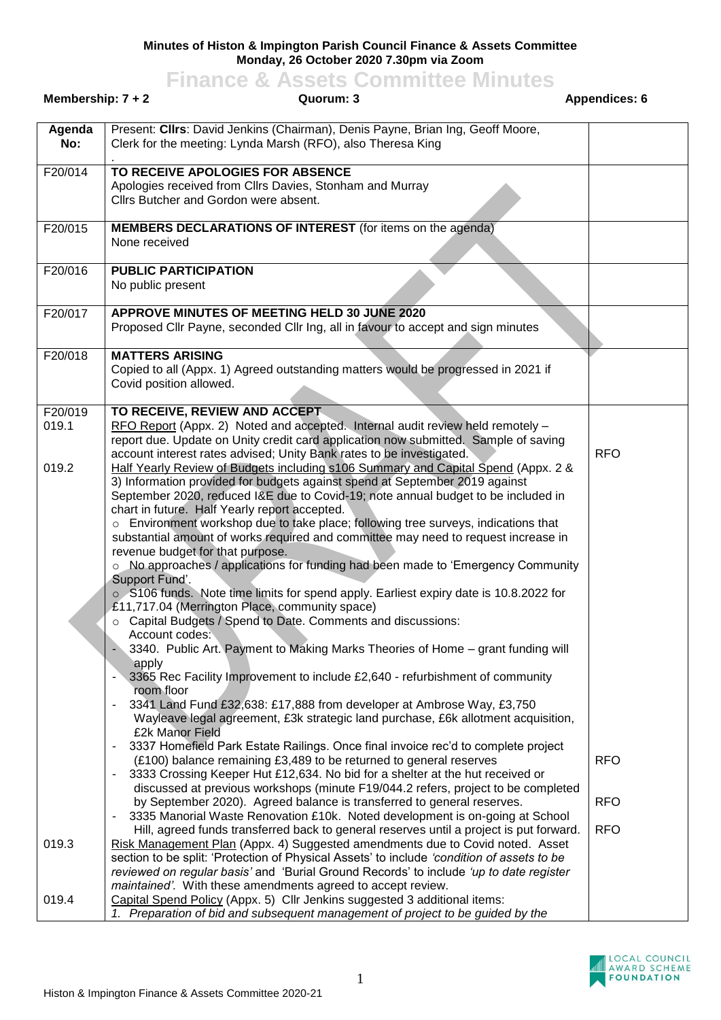## **Minutes of Histon & Impington Parish Council Finance & Assets Committee Monday, 26 October 2020 7.30pm via Zoom**

## **Finance & Assets Committee Minutes**

| Membership: $7 + 2$ | Quorum: 3                                                                                                                                                                                                                                                                                                                                                                                                                                                                                                                                                                                                                                                                                                                                                                                                                                                                                                                                             | <b>Appendices: 6</b> |            |
|---------------------|-------------------------------------------------------------------------------------------------------------------------------------------------------------------------------------------------------------------------------------------------------------------------------------------------------------------------------------------------------------------------------------------------------------------------------------------------------------------------------------------------------------------------------------------------------------------------------------------------------------------------------------------------------------------------------------------------------------------------------------------------------------------------------------------------------------------------------------------------------------------------------------------------------------------------------------------------------|----------------------|------------|
| Agenda<br>No:       | Present: Cllrs: David Jenkins (Chairman), Denis Payne, Brian Ing, Geoff Moore,<br>Clerk for the meeting: Lynda Marsh (RFO), also Theresa King                                                                                                                                                                                                                                                                                                                                                                                                                                                                                                                                                                                                                                                                                                                                                                                                         |                      |            |
| F20/014             | TO RECEIVE APOLOGIES FOR ABSENCE<br>Apologies received from Cllrs Davies, Stonham and Murray<br>Cllrs Butcher and Gordon were absent.                                                                                                                                                                                                                                                                                                                                                                                                                                                                                                                                                                                                                                                                                                                                                                                                                 |                      |            |
| F20/015             | <b>MEMBERS DECLARATIONS OF INTEREST</b> (for items on the agenda)<br>None received                                                                                                                                                                                                                                                                                                                                                                                                                                                                                                                                                                                                                                                                                                                                                                                                                                                                    |                      |            |
| F20/016             | <b>PUBLIC PARTICIPATION</b><br>No public present                                                                                                                                                                                                                                                                                                                                                                                                                                                                                                                                                                                                                                                                                                                                                                                                                                                                                                      |                      |            |
| F20/017             | APPROVE MINUTES OF MEETING HELD 30 JUNE 2020<br>Proposed Cllr Payne, seconded Cllr Ing, all in favour to accept and sign minutes                                                                                                                                                                                                                                                                                                                                                                                                                                                                                                                                                                                                                                                                                                                                                                                                                      |                      |            |
| F20/018             | <b>MATTERS ARISING</b><br>Copied to all (Appx. 1) Agreed outstanding matters would be progressed in 2021 if<br>Covid position allowed.                                                                                                                                                                                                                                                                                                                                                                                                                                                                                                                                                                                                                                                                                                                                                                                                                |                      |            |
| F20/019<br>019.1    | TO RECEIVE, REVIEW AND ACCEPT<br>RFO Report (Appx. 2) Noted and accepted. Internal audit review held remotely -<br>report due. Update on Unity credit card application now submitted. Sample of saving<br>account interest rates advised; Unity Bank rates to be investigated.                                                                                                                                                                                                                                                                                                                                                                                                                                                                                                                                                                                                                                                                        |                      | <b>RFO</b> |
| 019.2               | Half Yearly Review of Budgets including s106 Summary and Capital Spend (Appx. 2 &<br>3) Information provided for budgets against spend at September 2019 against<br>September 2020, reduced I&E due to Covid-19; note annual budget to be included in<br>chart in future. Half Yearly report accepted.<br>o Environment workshop due to take place; following tree surveys, indications that<br>substantial amount of works required and committee may need to request increase in<br>revenue budget for that purpose.<br>○ No approaches / applications for funding had been made to 'Emergency Community<br>Support Fund'.<br>o S106 funds. Note time limits for spend apply. Earliest expiry date is 10.8.2022 for<br>£11,717.04 (Merrington Place, community space)<br>○ Capital Budgets / Spend to Date. Comments and discussions:<br>Account codes:<br>3340. Public Art. Payment to Making Marks Theories of Home - grant funding will<br>apply |                      |            |
|                     | 3365 Rec Facility Improvement to include £2,640 - refurbishment of community<br>room floor<br>3341 Land Fund £32,638: £17,888 from developer at Ambrose Way, £3,750<br>$\blacksquare$<br>Wayleave legal agreement, £3k strategic land purchase, £6k allotment acquisition,<br>£2k Manor Field<br>3337 Homefield Park Estate Railings. Once final invoice rec'd to complete project<br>(£100) balance remaining £3,489 to be returned to general reserves<br>3333 Crossing Keeper Hut £12,634. No bid for a shelter at the hut received or                                                                                                                                                                                                                                                                                                                                                                                                             |                      | <b>RFO</b> |
|                     | discussed at previous workshops (minute F19/044.2 refers, project to be completed<br>by September 2020). Agreed balance is transferred to general reserves.<br>3335 Manorial Waste Renovation £10k. Noted development is on-going at School<br>$\blacksquare$                                                                                                                                                                                                                                                                                                                                                                                                                                                                                                                                                                                                                                                                                         |                      | <b>RFO</b> |
| 019.3               | Hill, agreed funds transferred back to general reserves until a project is put forward.<br>Risk Management Plan (Appx. 4) Suggested amendments due to Covid noted. Asset<br>section to be split: 'Protection of Physical Assets' to include 'condition of assets to be<br>reviewed on regular basis' and 'Burial Ground Records' to include 'up to date register<br>maintained'. With these amendments agreed to accept review.                                                                                                                                                                                                                                                                                                                                                                                                                                                                                                                       |                      | <b>RFO</b> |
| 019.4               | Capital Spend Policy (Appx. 5) Cllr Jenkins suggested 3 additional items:<br>1. Preparation of bid and subsequent management of project to be guided by the                                                                                                                                                                                                                                                                                                                                                                                                                                                                                                                                                                                                                                                                                                                                                                                           |                      |            |